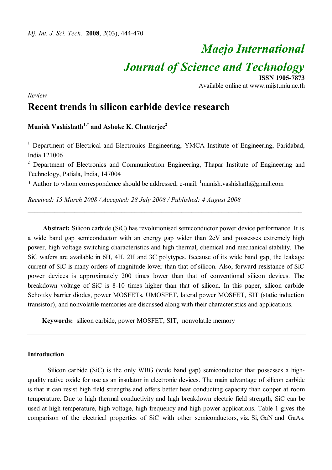# *Maejo International Journal of Science and Technology* **ISSN 1905-7873**

Available online at www.mijst.mju.ac.th

*Review*

# **Recent trends in silicon carbide device research**

# **Munish Vashishath1,\* and Ashoke K. Chatterjee<sup>2</sup>**

<sup>1</sup> Department of Electrical and Electronics Engineering, YMCA Institute of Engineering, Faridabad, India 121006

<sup>2</sup> Department of Electronics and Communication Engineering, Thapar Institute of Engineering and Technology, Patiala, India, 147004

\_\_\_\_\_\_\_\_\_\_\_\_\_\_\_\_\_\_\_\_\_\_\_\_\_\_\_\_\_\_\_\_\_\_\_\_\_\_\_\_\_\_\_\_\_\_\_\_\_\_\_\_\_\_\_\_\_\_\_\_\_\_\_\_\_\_\_\_\_\_\_\_\_\_\_\_\_\_\_\_\_\_

\* Author to whom correspondence should be addressed, e-mail:  $\frac{1}{2}$ munish.vashishath $\omega$ gmail.com

*Received: 15 March 2008 / Accepted: 28 July 2008 / Published: 4 August 2008*

**Abstract:** Silicon carbide (SiC) has revolutionised semiconductor power device performance. It is a wide band gap semiconductor with an energy gap wider than 2eV and possesses extremely high power, high voltage switching characteristics and high thermal, chemical and mechanical stability. The SiC wafers are available in 6H, 4H, 2H and 3C polytypes. Because of its wide band gap, the leakage current of SiC is many orders of magnitude lower than that of silicon. Also, forward resistance of SiC power devices is approximately 200 times lower than that of conventional silicon devices. The breakdown voltage of SiC is 8-10 times higher than that of silicon. In this paper, silicon carbide Schottky barrier diodes, power MOSFETs, UMOSFET, lateral power MOSFET, SIT (static induction transistor), and nonvolatile memories are discussed along with their characteristics and applications.

**Keywords:** silicon carbide, power MOSFET, SIT, nonvolatile memory

# **Introduction**

Silicon carbide (SiC) is the only WBG (wide band gap) semiconductor that possesses a highquality native oxide for use as an insulator in electronic devices. The main advantage of silicon carbide is that it can resist high field strengths and offers better heat conducting capacity than copper at room temperature. Due to high thermal conductivity and high breakdown electric field strength, SiC can be used at high temperature, high voltage, high frequency and high power applications. Table 1 gives the comparison of the electrical properties of SiC with other semiconductors, viz. Si, GaN and GaAs.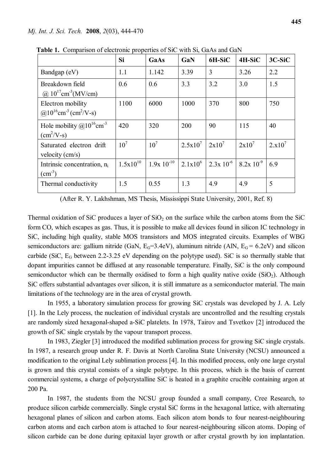|                                                                                        | Si              | GaAs            | GaN          | 6H-SiC          | 4H-SiC         | $3C-SiC$  |
|----------------------------------------------------------------------------------------|-----------------|-----------------|--------------|-----------------|----------------|-----------|
| Bandgap (eV)                                                                           | 1.1             | 1.142           | 3.39         | 3               | 3.26           | 2.2       |
| Breakdown field<br>@ $10^{17}$ cm <sup>-3</sup> (MV/cm)                                | 0.6             | 0.6             | 3.3          | 3.2             | 3.0            | 1.5       |
| Electron mobility<br>$\omega$ 10 <sup>16</sup> cm <sup>-3</sup> (cm <sup>2</sup> /V-s) | 1100            | 6000            | 1000         | 370             | 800            | 750       |
| Hole mobility $@10^{16}$ cm <sup>-3</sup><br>$(cm^2/V-s)$                              | 420             | 320             | 200          | 90              | 115            | 40        |
| Saturated electron drift<br>velocity $\text{(cm/s)}$                                   | 10 <sup>7</sup> | 10 <sup>7</sup> | $2.5x10^{7}$ | $2x10^7$        | $2x10^7$       | $2.x10^7$ |
| Intrinsic concentration, $n_i$<br>$\text{(cm}^3\text{)}$                               | $1.5x10^{10}$   | $1.9x 10^{-10}$ | $2.1x10^{6}$ | $2.3x\,10^{-6}$ | $8.2x 10^{-9}$ | 6.9       |
| Thermal conductivity                                                                   | 1.5             | 0.55            | 1.3          | 4.9             | 4.9            | 5         |

 **Table 1.** Comparison of electronic properties of SiC with Si, GaAs and GaN

(After R. Y. Lakhshman, MS Thesis, Mississippi State University, 2001, Ref. 8)

Thermal oxidation of SiC produces a layer of  $SiO<sub>2</sub>$  on the surface while the carbon atoms from the SiC form CO, which escapes as gas. Thus, it is possible to make all devices found in silicon IC technology in SiC, including high quality, stable MOS transistors and MOS integrated circuits. Examples of WBG semiconductors are: gallium nitride (GaN,  $E_G=3.4$ eV), aluminum nitride (AlN,  $E_G=6.2$ eV) and silicon carbide (SiC, EG between 2.2-3.25 eV depending on the polytype used). SiC is so thermally stable that dopant impurities cannot be diffused at any reasonable temperature. Finally, SiC is the only compound semiconductor which can be thermally oxidised to form a high quality native oxide  $(SiO<sub>2</sub>)$ . Although SiC offers substantial advantages over silicon, it is still immature as a semiconductor material. The main limitations of the technology are in the area of crystal growth.

In 1955, a laboratory simulation process for growing SiC crystals was developed by J. A. Lely [1]. In the Lely process, the nucleation of individual crystals are uncontrolled and the resulting crystals are randomly sized hexagonal-shaped a-SiC platelets. In 1978, Tairov and Tsvetkov [2] introduced the growth of SiC single crystals by the vapour transport process.

In 1983, Ziegler [3] introduced the modified sublimation process for growing SiC single crystals. In 1987, a research group under R. F. Davis at North Carolina State University (NCSU) announced a modification to the original Lely sublimation process [4]. In this modified process, only one large crystal is grown and this crystal consists of a single polytype. In this process, which is the basis of current commercial systems, a charge of polycrystalline SiC is heated in a graphite crucible containing argon at 200 Pa.

In 1987, the students from the NCSU group founded a small company, Cree Research, to produce silicon carbide commercially. Single crystal SiC forms in the hexagonal lattice, with alternating hexagonal planes of silicon and carbon atoms. Each silicon atom bonds to four nearest-neighbouring carbon atoms and each carbon atom is attached to four nearest-neighbouring silicon atoms. Doping of silicon carbide can be done during epitaxial layer growth or after crystal growth by ion implantation.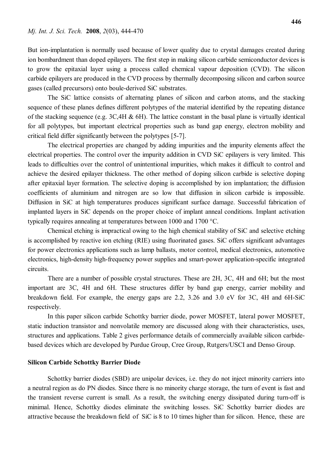But ion-implantation is normally used because of lower quality due to crystal damages created during ion bombardment than doped epilayers. The first step in making silicon carbide semiconductor devices is to grow the epitaxial layer using a process called chemical vapour deposition (CVD). The silicon carbide epilayers are produced in the CVD process by thermally decomposing silicon and carbon source gases (called precursors) onto boule-derived SiC substrates.

The SiC lattice consists of alternating planes of silicon and carbon atoms, and the stacking sequence of these planes defines different polytypes of the material identified by the repeating distance of the stacking sequence (e.g. 3C,4H & 6H). The lattice constant in the basal plane is virtually identical for all polytypes, but important electrical properties such as band gap energy, electron mobility and critical field differ significantly between the polytypes [5-7].

The electrical properties are changed by adding impurities and the impurity elements affect the electrical properties. The control over the impurity addition in CVD SiC epilayers is very limited. This leads to difficulties over the control of unintentional impurities, which makes it difficult to control and achieve the desired epilayer thickness. The other method of doping silicon carbide is selective doping after epitaxial layer formation. The selective doping is accomplished by ion implantation; the diffusion coefficients of aluminium and nitrogen are so low that diffusion in silicon carbide is impossible. Diffusion in SiC at high temperatures produces significant surface damage. Successful fabrication of implanted layers in SiC depends on the proper choice of implant anneal conditions. Implant activation typically requires annealing at temperatures between 1000 and 1700 °C.

Chemical etching is impractical owing to the high chemical stability of SiC and selective etching is accomplished by reactive ion etching (RIE) using fluorinated gases. SiC offers significant advantages for power electronics applications such as lamp ballasts, motor control, medical electronics, automotive electronics, high-density high-frequency power supplies and smart-power application-specific integrated circuits.

There are a number of possible crystal structures. These are 2H, 3C, 4H and 6H; but the most important are 3C, 4H and 6H. These structures differ by band gap energy, carrier mobility and breakdown field. For example, the energy gaps are 2.2, 3.26 and 3.0 eV for 3C, 4H and 6H-SiC respectively.

In this paper silicon carbide Schottky barrier diode, power MOSFET, lateral power MOSFET, static induction transistor and nonvolatile memory are discussed along with their characteristics, uses, structures and applications. Table 2 gives performance details of commercially available silicon carbidebased devices which are developed by Purdue Group, Cree Group, Rutgers/USCI and Denso Group.

# **Silicon Carbide Schottky Barrier Diode**

Schottky barrier diodes (SBD) are unipolar devices, i.e. they do not inject minority carriers into a neutral region as do PN diodes. Since there is no minority charge storage, the turn of event is fast and the transient reverse current is small. As a result, the switching energy dissipated during turn-off is minimal. Hence, Schottky diodes eliminate the switching losses. SiC Schottky barrier diodes are attractive because the breakdown field of SiC is 8 to 10 times higher than for silicon. Hence, these are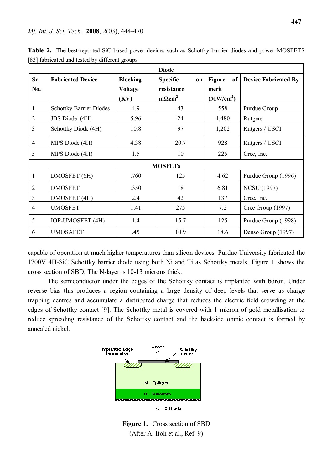#### *Mj. Int. J. Sci. Tech.* **2008**, *2*(03), 444-470

| <b>Diode</b>   |                                |                                           |                                                                         |                                                       |                             |  |  |  |  |  |
|----------------|--------------------------------|-------------------------------------------|-------------------------------------------------------------------------|-------------------------------------------------------|-----------------------------|--|--|--|--|--|
| Sr.<br>No.     | <b>Fabricated Device</b>       | <b>Blocking</b><br><b>Voltage</b><br>(KV) | <b>Specific</b><br><b>on</b><br>resistance<br>$m\Omega$ cm <sup>2</sup> | <b>Figure</b><br>of<br>merit<br>(MW/cm <sup>2</sup> ) | <b>Device Fabricated By</b> |  |  |  |  |  |
| 1              | <b>Schottky Barrier Diodes</b> | 4.9                                       | 43                                                                      | 558                                                   | Purdue Group                |  |  |  |  |  |
| 2              | JBS Diode (4H)                 | 5.96                                      | 24<br>1,480                                                             |                                                       | Rutgers                     |  |  |  |  |  |
| $\overline{3}$ | Schottky Diode (4H)            | 10.8                                      | 97                                                                      | 1,202                                                 | Rutgers / USCI              |  |  |  |  |  |
| $\overline{4}$ | MPS Diode (4H)                 | 4.38                                      | 20.7                                                                    | 928                                                   | Rutgers / USCI              |  |  |  |  |  |
| 5              | MPS Diode (4H)                 | 1.5                                       | 10                                                                      | 225                                                   | Cree, Inc.                  |  |  |  |  |  |
| <b>MOSFETs</b> |                                |                                           |                                                                         |                                                       |                             |  |  |  |  |  |
| 1              | DMOSFET (6H)                   | .760                                      | 125                                                                     | 4.62                                                  | Purdue Group (1996)         |  |  |  |  |  |
| $\overline{2}$ | <b>DMOSFET</b>                 | .350                                      | 18                                                                      | 6.81                                                  | <b>NCSU</b> (1997)          |  |  |  |  |  |
| 3              | <b>DMOSFET</b> (4H)            | 2.4                                       | 42                                                                      | 137                                                   | Cree, Inc.                  |  |  |  |  |  |
| $\overline{4}$ | <b>UMOSFET</b>                 | 1.41                                      | 275                                                                     | 7.2                                                   | Cree Group (1997)           |  |  |  |  |  |
| 5              | <b>IOP-UMOSFET (4H)</b>        | 1.4                                       | 15.7                                                                    | 125                                                   | Purdue Group (1998)         |  |  |  |  |  |
| 6              | <b>UMOSAFET</b>                | .45                                       | 10.9                                                                    | 18.6                                                  | Denso Group (1997)          |  |  |  |  |  |

**Table 2.** The best-reported SiC based power devices such as Schottky barrier diodes and power MOSFETS [83] fabricated and tested by different groups

capable of operation at much higher temperatures than silicon devices. Purdue University fabricated the 1700V 4H-SiC Schottky barrier diode using both Ni and Ti as Schottky metals. Figure 1 shows the cross section of SBD. The N-layer is 10-13 microns thick.

The semiconductor under the edges of the Schottky contact is implanted with boron. Under reverse bias this produces a region containing a large density of deep levels that serve as charge trapping centres and accumulate a distributed charge that reduces the electric field crowding at the edges of Schottky contact [9]. The Schottky metal is covered with 1 micron of gold metallisation to reduce spreading resistance of the Schottky contact and the backside ohmic contact is formed by annealed nickel.



**Figure 1.** Cross section of SBD (After A. Itoh et al., Ref. 9)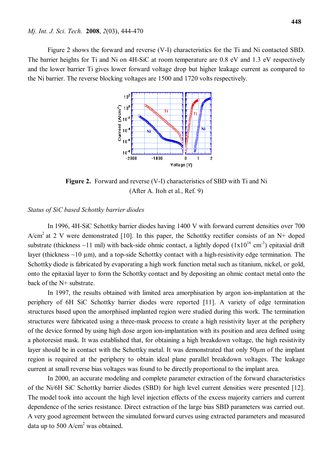Figure 2 shows the forward and reverse (V-I) characteristics for the Ti and Ni contacted SBD. The barrier heights for Ti and Ni on 4H-SiC at room temperature are 0.8 eV and 1.3 eV respectively and the lower barrier Ti gives lower forward voltage drop but higher leakage current as compared to the Ni barrier. The reverse blocking voltages are 1500 and 1720 volts respectively.



**Figure 2.** Forward and reverse (V-I) characteristics of SBD with Ti and Ni (After A. Itoh et al., Ref. 9)

#### *Status of SiC based Schottky barrier diodes*

In 1996, 4H-SiC Schottky barrier diodes having 1400 V with forward current densities over 700  $A/cm<sup>2</sup>$  at 2 V were demonstrated [10]. In this paper, the Schottky rectifier consists of an N+ doped substrate (thickness  $\sim$ 11 mil) with back-side ohmic contact, a lightly doped ( $1x10^{16}$  cm<sup>-3</sup>) epitaxial drift layer (thickness  $\sim$ 10  $\mu$ m), and a top-side Schottky contact with a high-resistivity edge termination. The Schottky diode is fabricated by evaporating a high work function metal such as titanium, nickel, or gold, onto the epitaxial layer to form the Schottky contact and by depositing an ohmic contact metal onto the back of the N+ substrate.

In 1997, the results obtained with limited area amorphisation by argon ion-implantation at the periphery of 6H SiC Schottky barrier diodes were reported [11]. A variety of edge termination structures based upon the amorphised implanted region were studied during this work. The termination structures were fabricated using a three-mask process to create a high resistivity layer at the periphery of the device formed by using high dose argon ion-implantation with its position and area defined using a photoresist mask. It was established that, for obtaining a high breakdown voltage, the high resistivity layer should be in contact with the Schottky metal. It was demonstrated that only 50µm of the implant region is required at the periphery to obtain ideal plane parallel breakdown voltages. The leakage current at small reverse bias voltages was found to be directly proportional to the implant area.

In 2000, an accurate modeling and complete parameter extraction of the forward characteristics of the Ni/6H SiC Schottky barrier diodes (SBD) for high level current densities were presented [12]. The model took into account the high level injection effects of the excess majority carriers and current dependence of the series resistance. Direct extraction of the large bias SBD parameters was carried out. A very good agreement between the simulated forward curves using extracted parameters and measured data up to 500  $A/cm<sup>2</sup>$  was obtained.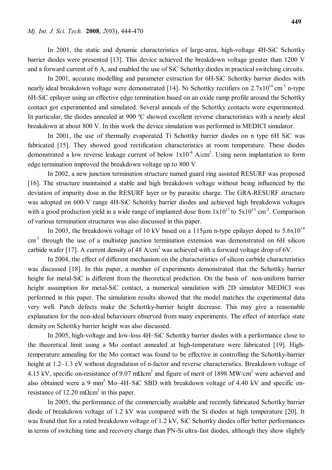In 2001, the static and dynamic characteristics of large-area, high-voltage 4H-SiC Schottky barrier diodes were presented [13]. This device achieved the breakdown voltage greater than 1200 V and a forward current of 6 A, and enabled the use of SiC Schottky diodes in practical switching circuits.

In 2001, accurate modelling and parameter extraction for 6H-SiC Schottky barrier diodes with nearly ideal breakdown voltage were demonstrated [14]. Ni Schottky rectifiers on 2.7x10<sup>16</sup> cm<sup>-3</sup> n-type 6H-SiC epilayer using an effective edge termination based on an oxide ramp profile around the Schottky contact got experimented and simulated. Several anneals of the Schottky contacts were experimented. In particular, the diodes annealed at 900 °C showed excellent reverse characteristics with a nearly ideal breakdown at about 800 V. In this work the device simulation was performed in MEDICI simulator.

In 2001, the use of thermally evaporated Ti Schottky barrier diodes on n type 6H SiC was fabricated [15]. They showed good rectification characteristics at room temperature. These diodes demonstrated a low reverse leakage current of below  $1x10^{-4}$  A/cm<sup>2</sup>. Using neon implantation to form edge termination improved the breakdown voltage up to 800 V.

In 2002, a new junction termination structure named guard ring assisted RESURF was proposed [16]. The structure maintained a stable and high breakdown voltage without being influenced by the deviation of impurity dose in the RESURF layer or by parasitic charge. The GRA-RESURF structure was adopted on 600-V range 4H-SiC Schottky barrier diodes and achieved high breakdown voltages with a good production yield in a wide range of implanted dose from  $1x10^{13}$  to  $5x10^{13}$  cm<sup>-2</sup>. Comparison of various termination structures was also discussed in this paper.

In 2003, the breakdown voltage of 10 kV based on a 115 $\mu$ m n-type epilayer doped to 5.6x10<sup>14</sup> cm<sup>-3</sup> through the use of a multistep junction termination extension was demonstrated on 6H silicon carbide wafer [17]. A current density of 48  $A/cm<sup>2</sup>$  was achieved with a forward voltage drop of 6V.

In 2004, the effect of different mechanism on the characteristics of silicon carbide characteristics was discussed [18]. In this paper, a number of experiments demonstrated that the Schottky barrier height for metal-SiC is different from the theoretical prediction. On the basis of non-uniform barrier height assumption for metal-SiC contact, a numerical simulation with 2D simulator MEDICI was performed in this paper. The simulation results showed that the model matches the experimental data very well. Patch defects make the Schottky-barrier height decrease. This may give a reasonable explanation for the non-ideal behaviours observed from many experiments. The effect of interface state density on Schottky barrier height was also discussed.

In 2005, high-voltage and low-loss 4H–SiC Schottky barrier diodes with a performance close to the theoretical limit using a Mo contact annealed at high-temperature were fabricated [19]. Hightemperature annealing for the Mo contact was found to be effective in controlling the Schottky-barrier height at 1.2–1.3 eV without degradation of n-factor and reverse characteristics. Breakdown voltage of 4.15 kV, specific on-resistance of 9.07 m $\Omega$ cm<sup>2</sup> and figure of merit of 1898 MW/cm<sup>2</sup> were achieved and also obtained were a 9 mm<sup>2</sup> Mo-4H-SiC SBD with breakdown voltage of 4.40 kV and specific onresistance of 12.20 m $\Omega$ cm<sup>2</sup> in this paper.

In 2005, the performance of the commercially available and recently fabricated Schottky barrier diode of breakdown voltage of 1.2 kV was compared with the Si diodes at high temperature [20]. It was found that for a rated breakdown voltage of 1.2 kV, SiC Schottky diodes offer better performances in terms of switching time and recovery charge than PN-Si ultra-fast diodes, although they show slightly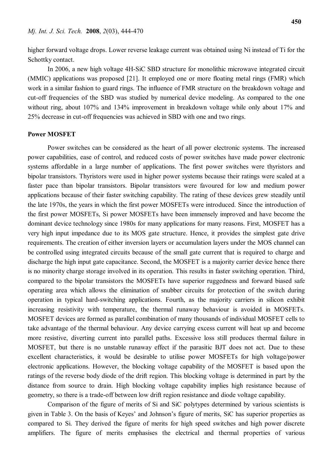higher forward voltage drops. Lower reverse leakage current was obtained using Ni instead of Ti for the Schottky contact.

In 2006, a new high voltage 4H-SiC SBD structure for monolithic microwave integrated circuit (MMIC) applications was proposed [21]. It employed one or more floating metal rings (FMR) which work in a similar fashion to guard rings. The influence of FMR structure on the breakdown voltage and cut-off frequencies of the SBD was studied by numerical device modeling. As compared to the one without ring, about 107% and 134% improvement in breakdown voltage while only about 17% and 25% decrease in cut-off frequencies was achieved in SBD with one and two rings.

## **Power MOSFET**

Power switches can be considered as the heart of all power electronic systems. The increased power capabilities, ease of control, and reduced costs of power switches have made power electronic systems affordable in a large number of applications. The first power switches were thyristors and bipolar transistors. Thyristors were used in higher power systems because their ratings were scaled at a faster pace than bipolar transistors. Bipolar transistors were favoured for low and medium power applications because of their faster switching capability. The rating of these devices grew steadily until the late 1970s, the years in which the first power MOSFETs were introduced. Since the introduction of the first power MOSFETs, Si power MOSFETs have been immensely improved and have become the dominant device technology since 1980s for many applications for many reasons. First, MOSFET has a very high input impedance due to its MOS gate structure. Hence, it provides the simplest gate drive requirements. The creation of either inversion layers or accumulation layers under the MOS channel can be controlled using integrated circuits because of the small gate current that is required to charge and discharge the high input gate capacitance. Second, the MOSFET is a majority carrier device hence there is no minority charge storage involved in its operation. This results in faster switching operation. Third, compared to the bipolar transistors the MOSFETs have superior ruggedness and forward biased safe operating area which allows the elimination of snubber circuits for protection of the switch during operation in typical hard-switching applications. Fourth, as the majority carriers in silicon exhibit increasing resistivity with temperature, the thermal runaway behaviour is avoided in MOSFETs. MOSFET devices are formed as parallel combination of many thousands of individual MOSFET cells to take advantage of the thermal behaviour. Any device carrying excess current will heat up and become more resistive, diverting current into parallel paths. Excessive loss still produces thermal failure in MOSFET, but there is no unstable runaway effect if the parasitic BJT does not act. Due to these excellent characteristics, it would be desirable to utilise power MOSFETs for high voltage/power electronic applications. However, the blocking voltage capability of the MOSFET is based upon the ratings of the reverse body diode of the drift region. This blocking voltage is determined in part by the distance from source to drain. High blocking voltage capability implies high resistance because of geometry, so there is a trade-off between low drift region resistance and diode voltage capability.

Comparison of the figure of merits of Si and SiC polytypes determined by various scientists is given in Table 3. On the basis of Keyes' and Johnson's figure of merits, SiC has superior properties as compared to Si. They derived the figure of merits for high speed switches and high power discrete amplifiers. The figure of merits emphasises the electrical and thermal properties of various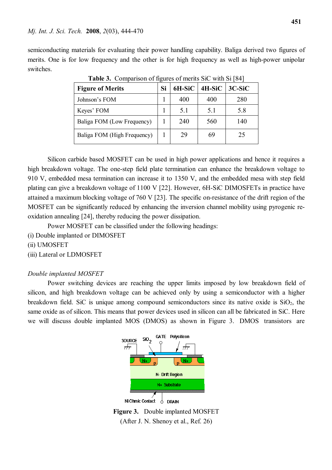#### *Mj. Int. J. Sci. Tech.* **2008**, *2*(03), 444-470

semiconducting materials for evaluating their power handling capability. Baliga derived two figures of merits. One is for low frequency and the other is for high frequency as well as high-power unipolar switches.

| <b>Figure of Merits</b>     |  | 6H-SiC | 4H-SiC | $3C-SiC$ |
|-----------------------------|--|--------|--------|----------|
| Johnson's FOM               |  | 400    | 400    | 280      |
| Keyes' FOM                  |  | 5.1    | 5.1    | 5.8      |
| Baliga FOM (Low Frequency)  |  | 240    | 560    | 140      |
| Baliga FOM (High Frequency) |  | 29     | 69     | 25       |

**Table 3.** Comparison of figures of merits SiC with Si [84]

Silicon carbide based MOSFET can be used in high power applications and hence it requires a high breakdown voltage. The one-step field plate termination can enhance the breakdown voltage to 910 V, embedded mesa termination can increase it to 1350 V, and the embedded mesa with step field plating can give a breakdown voltage of 1100 V [22]. However, 6H-SiC DIMOSFETs in practice have attained a maximum blocking voltage of 760 V [23]. The specific on-resistance of the drift region of the MOSFET can be significantly reduced by enhancing the inversion channel mobility using pyrogenic reoxidation annealing [24], thereby reducing the power dissipation.

Power MOSFET can be classified under the following headings:

(i) Double implanted or DIMOSFET

(ii) UMOSFET

(iii) Lateral or LDMOSFET

# *Double implanted MOSFET*

Power switching devices are reaching the upper limits imposed by low breakdown field of silicon, and high breakdown voltage can be achieved only by using a semiconductor with a higher breakdown field. SiC is unique among compound semiconductors since its native oxide is  $SiO<sub>2</sub>$ , the same oxide as of silicon. This means that power devices used in silicon can all be fabricated in SiC. Here we will discuss double implanted MOS (DMOS) as shown in Figure 3. DMOS transistors are



**Figure 3.** Double implanted MOSFET (After J. N. Shenoy et al., Ref. 26)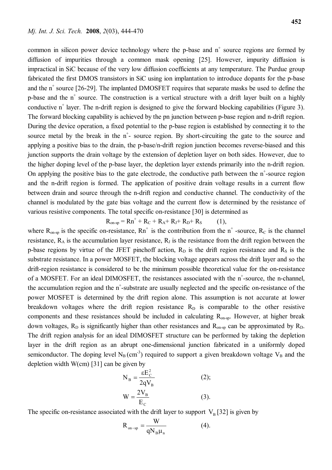common in silicon power device technology where the p-base and  $n^+$  source regions are formed by diffusion of impurities through a common mask opening [25]. However, impurity diffusion is impractical in SiC because of the very low diffusion coefficients at any temperature. The Purdue group fabricated the first DMOS transistors in SiC using ion implantation to introduce dopants for the p-base and the n<sup>+</sup> source [26-29]. The implanted DMOSFET requires that separate masks be used to define the p-base and the  $n^+$  source. The construction is a vertical structure with a drift layer built on a highly conductive  $n^+$  layer. The n-drift region is designed to give the forward blocking capabilities (Figure 3). The forward blocking capability is achieved by the pn junction between p-base region and n-drift region. During the device operation, a fixed potential to the p-base region is established by connecting it to the source metal by the break in the  $n^+$ - source region. By short-circuiting the gate to the source and applying a positive bias to the drain, the p-base/n-drift region junction becomes reverse-biased and this junction supports the drain voltage by the extension of depletion layer on both sides. However, due to the higher doping level of the p-base layer, the depletion layer extends primarily into the n-drift region. On applying the positive bias to the gate electrode, the conductive path between the  $n^+$ -source region and the n-drift region is formed. The application of positive drain voltage results in a current flow between drain and source through the n-drift region and conductive channel. The conductivity of the channel is modulated by the gate bias voltage and the current flow is determined by the resistance of various resistive components. The total specific on-resistance [30] is determined as

 $R_{\text{on-sp}} = Rn^+ + R_C + R_A + R_J + R_D + R_S$  (1),

where  $R_{on-sp}$  is the specific on-resistance,  $Rn^+$  is the contribution from the n<sup>+</sup>-source,  $R_C$  is the channel resistance,  $R_A$  is the accumulation layer resistance,  $R_J$  is the resistance from the drift region between the p-base regions by virtue of the JFET pinchoff action,  $R_D$  is the drift region resistance and  $R_S$  is the substrate resistance. In a power MOSFET, the blocking voltage appears across the drift layer and so the drift-region resistance is considered to be the minimum possible theoretical value for the on-resistance of a MOSFET. For an ideal DIMOSFET, the resistances associated with the  $n^+$ -source, the n-channel, the accumulation region and the  $n^+$ -substrate are usually neglected and the specific on-resistance of the power MOSFET is determined by the drift region alone. This assumption is not accurate at lower breakdown voltages where the drift region resistance  $R<sub>D</sub>$  is comparable to the other resistive components and these resistances should be included in calculating  $R_{on-so}$ . However, at higher break down voltages,  $R_D$  is significantly higher than other resistances and  $R_{on-sp}$  can be approximated by  $R_D$ . The drift region analysis for an ideal DIMOSFET structure can be performed by taking the depletion layer in the drift region as an abrupt one-dimensional junction fabricated in a uniformly doped semiconductor. The doping level  $N_B$  (cm<sup>-3</sup>) required to support a given breakdown voltage  $V_B$  and the depletion width  $W(cm)$  [31] can be given by

$$
N_B = \frac{\varepsilon E_C^2}{2qV_B}
$$
 (2);  
\n
$$
W = \frac{2V_B}{E_C}
$$
 (3).

The specific on-resistance associated with the drift layer to support  $V_B$  [32] is given by

$$
R_{on-sp} = \frac{W}{qN_B\mu_n}
$$
 (4).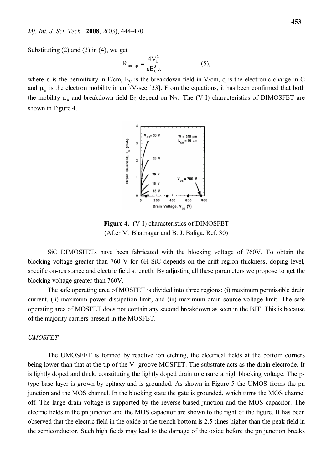Substituting  $(2)$  and  $(3)$  in  $(4)$ , we get

$$
R_{on-sp} = \frac{4V_B^2}{\epsilon E_C^3 \mu}
$$
 (5),

where  $\varepsilon$  is the permitivity in F/cm,  $E_c$  is the breakdown field in V/cm, q is the electronic charge in C and  $\mu_n$  is the electron mobility in cm<sup>2</sup>/V-sec [33]. From the equations, it has been confirmed that both the mobility  $\mu_n$  and breakdown field  $E_c$  depend on  $N_B$ . The (V-I) characteristics of DIMOSFET are shown in Figure 4.



**Figure 4.** (V-I) characteristics of DIMOSFET (After M. Bhatnagar and B. J. Baliga, Ref. 30)

SiC DIMOSFETs have been fabricated with the blocking voltage of 760V. To obtain the blocking voltage greater than 760 V for 6H-SiC depends on the drift region thickness, doping level, specific on-resistance and electric field strength. By adjusting all these parameters we propose to get the blocking voltage greater than 760V.

The safe operating area of MOSFET is divided into three regions: (i) maximum permissible drain current, (ii) maximum power dissipation limit, and (iii) maximum drain source voltage limit. The safe operating area of MOSFET does not contain any second breakdown as seen in the BJT. This is because of the majority carriers present in the MOSFET.

#### *UMOSFET*

The UMOSFET is formed by reactive ion etching, the electrical fields at the bottom corners being lower than that at the tip of the V- groove MOSFET. The substrate acts as the drain electrode. It is lightly doped and thick, constituting the lightly doped drain to ensure a high blocking voltage. The ptype base layer is grown by epitaxy and is grounded. As shown in Figure 5 the UMOS forms the pn junction and the MOS channel. In the blocking state the gate is grounded, which turns the MOS channel off. The large drain voltage is supported by the reverse-biased junction and the MOS capacitor. The electric fields in the pn junction and the MOS capacitor are shown to the right of the figure. It has been observed that the electric field in the oxide at the trench bottom is 2.5 times higher than the peak field in the semiconductor. Such high fields may lead to the damage of the oxide before the pn junction breaks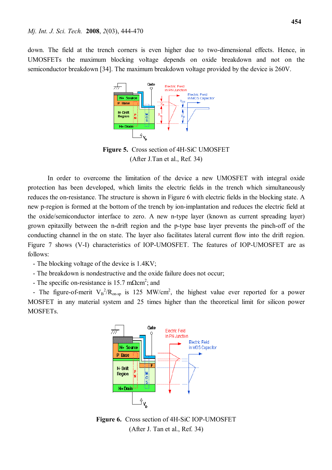down. The field at the trench corners is even higher due to two-dimensional effects. Hence, in UMOSFETs the maximum blocking voltage depends on oxide breakdown and not on the semiconductor breakdown [34]. The maximum breakdown voltage provided by the device is 260V.



**Figure 5.** Cross section of 4H-SiC UMOSFET (After J.Tan et al., Ref. 34)

In order to overcome the limitation of the device a new UMOSFET with integral oxide protection has been developed, which limits the electric fields in the trench which simultaneously reduces the on-resistance. The structure is shown in Figure 6 with electric fields in the blocking state. A new p-region is formed at the bottom of the trench by ion-implantation and reduces the electric field at the oxide/semiconductor interface to zero. A new n-type layer (known as current spreading layer) grown epitaxilly between the n-drift region and the p-type base layer prevents the pinch-off of the conducting channel in the on state. The layer also facilitates lateral current flow into the drift region. Figure 7 shows (V-I) characteristics of IOP-UMOSFET. The features of IOP-UMOSFET are as follows:

- The blocking voltage of the device is 1.4KV;

- The breakdown is nondestructive and the oxide failure does not occur;

- The specific on-resistance is 15.7 m $\Omega$ cm<sup>2</sup>; and

- The figure-of-merit  $V_B^2/R_{on-sp}$  is 125 MW/cm<sup>2</sup>, the highest value ever reported for a power MOSFET in any material system and 25 times higher than the theoretical limit for silicon power MOSFETs.



**Figure 6.** Cross section of 4H-SiC IOP-UMOSFET (After J. Tan et al., Ref. 34)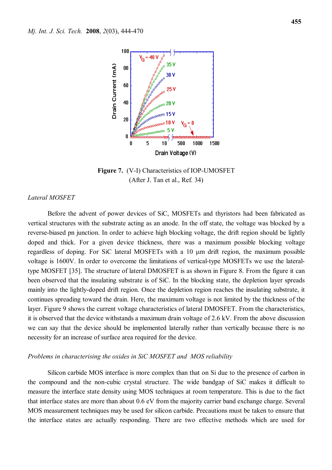

**Figure 7.** (V-I) Characteristics of IOP-UMOSFET (After J. Tan et al., Ref. 34)

#### *Lateral MOSFET*

Before the advent of power devices of SiC, MOSFETs and thyristors had been fabricated as vertical structures with the substrate acting as an anode. In the off state, the voltage was blocked by a reverse-biased pn junction. In order to achieve high blocking voltage, the drift region should be lightly doped and thick. For a given device thickness, there was a maximum possible blocking voltage regardless of doping. For SiC lateral MOSFETs with a  $10 \mu m$  drift region, the maximum possible voltage is 1600V. In order to overcome the limitations of vertical-type MOSFETs we use the lateraltype MOSFET [35]. The structure of lateral DMOSFET is as shown in Figure 8. From the figure it can been observed that the insulating substrate is of SiC. In the blocking state, the depletion layer spreads mainly into the lightly-doped drift region. Once the depletion region reaches the insulating substrate, it continues spreading toward the drain. Here, the maximum voltage is not limited by the thickness of the layer. Figure 9 shows the current voltage characteristics of lateral DMOSFET. From the characteristics, it is observed that the device withstands a maximum drain voltage of 2.6 kV. From the above discussion we can say that the device should be implemented laterally rather than vertically because there is no necessity for an increase of surface area required for the device.

#### *Problems in characterising the oxides in SiC MOSFET and MOS reliability*

Silicon carbide MOS interface is more complex than that on Si due to the presence of carbon in the compound and the non-cubic crystal structure. The wide bandgap of SiC makes it difficult to measure the interface state density using MOS techniques at room temperature. This is due to the fact that interface states are more than about 0.6 eV from the majority carrier band exchange charge. Several MOS measurement techniques may be used for silicon carbide. Precautions must be taken to ensure that the interface states are actually responding. There are two effective methods which are used for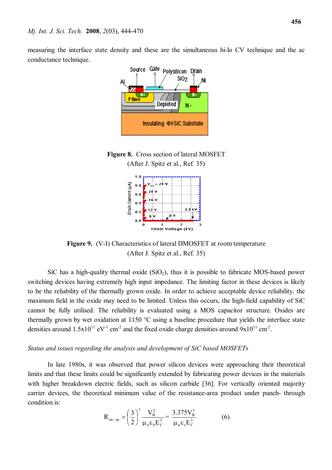measuring the interface state density and these are the simultaneous hi-lo CV technique and the ac conductance technique.



**Figure 8.** Cross section of lateral MOSFET (After J. Spitz et al., Ref. 35)



**Figure 9.** (V-I) Characteristics of lateral DMOSFET at room temperature (After J. Spitz et al., Ref. 35)

SiC has a high-quality thermal oxide  $(SiO<sub>2</sub>)$ , thus it is possible to fabricate MOS-based power switching devices having extremely high input impedance. The limiting factor in these devices is likely to be the reliability of the thermally grown oxide. In order to achieve acceptable device reliability, the maximum field in the oxide may need to be limited. Unless this occurs, the high-field capability of SiC cannot be fully utilised. The reliability is evaluated using a MOS capacitor structure. Oxides are thermally grown by wet oxidation at 1150 °C using a baseline procedure that yields the interface state densities around  $1.5x10^{11}$  eV<sup>-1</sup> cm<sup>-2</sup> and the fixed oxide charge densities around  $9x10^{11}$  cm<sup>-2</sup>.

#### *Status and issues regarding the analysis and development of SiC based MOSFETs*

In late 1980s, it was observed that power silicon devices were approaching their theoretical limits and that these limits could be significantly extended by fabricating power devices in the materials with higher breakdown electric fields, such as silicon carbide [36]. For vertically oriented majority carrier devices, the theoretical minimum value of the resistance-area product under punch- through condition is:

$$
R_{on-sp} = \left(\frac{3}{2}\right)^3 \frac{V_B^2}{\mu_n \epsilon_s E_C^3} = \frac{3.375 V_B^3}{\mu_n \epsilon_s E_C^3}
$$
 (6)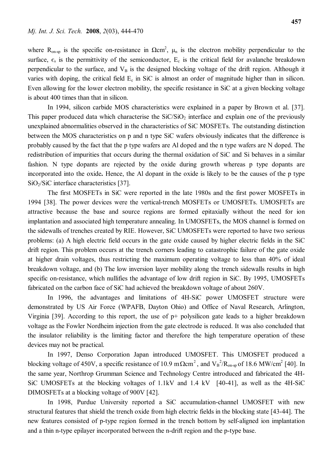where  $R_{\text{on-sp}}$  is the specific on-resistance in  $\Omega \text{cm}^2$ ,  $\mu_n$  is the electron mobility perpendicular to the surface,  $\epsilon_s$  is the permittivity of the semiconductor,  $E_c$  is the critical field for avalanche breakdown perpendicular to the surface, and  $V_B$  is the designed blocking voltage of the drift region. Although it varies with doping, the critical field  $E_c$  in SiC is almost an order of magnitude higher than in silicon. Even allowing for the lower electron mobility, the specific resistance in SiC at a given blocking voltage is about 400 times than that in silicon.

In 1994, silicon carbide MOS characteristics were explained in a paper by Brown et al. [37]. This paper produced data which characterise the  $SiC/SiO<sub>2</sub>$  interface and explain one of the previously unexplained abnormalities observed in the characteristics of SiC MOSFETs. The outstanding distinction between the MOS characteristics on p and n type SiC wafers obviously indicates that the difference is probably caused by the fact that the p type wafers are Al doped and the n type wafers are N doped. The redistribution of impurities that occurs during the thermal oxidation of SiC and Si behaves in a similar fashion. N type dopants are rejected by the oxide during growth whereas p type dopants are incorporated into the oxide**.** Hence, the Al dopant in the oxide is likely to be the causes of the p type  $SiO<sub>2</sub>/SiC$  interface characteristics [37].

The first MOSFETs in SiC were reported in the late 1980s and the first power MOSFETs in 1994 [38]. The power devices were the vertical-trench MOSFETs or UMOSFETs. UMOSFETs are attractive because the base and source regions are formed epitaxially without the need for ion implantation and associated high temperature annealing. In UMOSFETs, the MOS channel is formed on the sidewalls of trenches created by RIE. However, SiC UMOSFETs were reported to have two serious problems: (a) A high electric field occurs in the gate oxide caused by higher electric fields in the SiC drift region. This problem occurs at the trench corners leading to catastrophic failure of the gate oxide at higher drain voltages, thus restricting the maximum operating voltage to less than 40% of ideal breakdown voltage, and (b) The low inversion layer mobility along the trench sidewalls results in high specific on-resistance, which nullifies the advantage of low drift region in SiC. By 1995, UMOSFETs fabricated on the carbon face of SiC had achieved the breakdown voltage of about 260V.

In 1996, the advantages and limitations of 4H-SiC power UMOSFET structure were demonstrated by US Air Force (WPAFB, Dayton Ohio) and Office of Naval Research, Arlington, Virginia [39]. According to this report, the use of p+ polysilicon gate leads to a higher breakdown voltage as the Fowler Nordheim injection from the gate electrode is reduced. It was also concluded that the insulator reliability is the limiting factor and therefore the high temperature operation of these devices may not be practical.

In 1997, Denso Corporation Japan introduced UMOSFET. This UMOSFET produced a blocking voltage of 450V, a specific resistance of 10.9 m $\Omega$ cm<sup>2</sup>, and V<sub>B</sub><sup>2</sup>/R<sub>on-sp</sub> of 18.6 MW/cm<sup>2</sup> [40]. In the same year, Northrop Grumman Science and Technology Centre introduced and fabricated the 4H-SiC UMOSFETs at the blocking voltages of 1.1kV and 1.4 kV [40-41], as well as the 4H-SiC DIMOSFETs at a blocking voltage of 900V [42].

In 1998, Purdue University reported a SiC accumulation-channel UMOSFET with new structural features that shield the trench oxide from high electric fields in the blocking state [43-44]. The new features consisted of p-type region formed in the trench bottom by self-aligned ion implantation and a thin n-type epilayer incorporated between the n-drift region and the p-type base.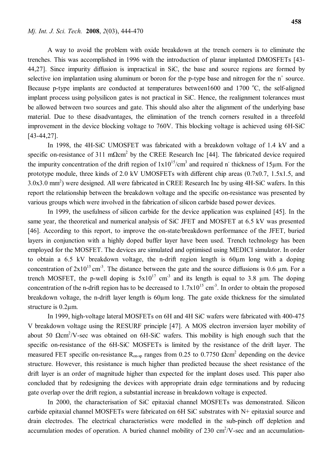A way to avoid the problem with oxide breakdown at the trench corners is to eliminate the trenches. This was accomplished in 1996 with the introduction of planar implanted DMOSFETs [43- 44,27]. Since impurity diffusion is impractical in SiC, the base and source regions are formed by selective ion implantation using aluminum or boron for the p-type base and nitrogen for the  $n^+$  source. Because p-type implants are conducted at temperatures between1600 and 1700  $^{\circ}$ C, the self-aligned implant process using polysilicon gates is not practical in SiC. Hence, the realignment tolerances must be allowed between two sources and gate. This should also alter the alignment of the underlying base material. Due to these disadvantages, the elimination of the trench corners resulted in a threefold improvement in the device blocking voltage to 760V. This blocking voltage is achieved using 6H-SiC [43-44,27].

In 1998, the 4H-SiC UMOSFET was fabricated with a breakdown voltage of 1.4 kV and a specific on-resistance of 311 m $\Omega$ cm<sup>2</sup> by the CREE Research Inc [44]. The fabricated device required the impurity concentration of the drift region of  $1x10^{15}/cm^3$  and required n<sup>-</sup> thickness of 15 $\mu$ m. For the prototype module, three kinds of 2.0 kV UMOSFETs with different chip areas (0.7x0.7, 1.5x1.5, and 3.0x3.0 mm<sup>2</sup> ) were designed. All were fabricated in CREE Research Inc by using 4H-SiC wafers. In this report the relationship between the breakdown voltage and the specific on-resistance was presented by various groups which were involved in the fabrication of silicon carbide based power devices.

In 1999, the usefulness of silicon carbide for the device application was explained [45]. In the same year, the theoretical and numerical analysis of SiC JFET and MOSFET at 6.5 kV was presented [46]. According to this report, to improve the on-state/breakdown performance of the JFET, buried layers in conjunction with a highly doped buffer layer have been used. Trench technology has been employed for the MOSFET. The devices are simulated and optimised using MEDICI simulator. In order to obtain a 6.5 kV breakdown voltage, the n-drift region length is 60µm long with a doping concentration of  $2x10^{15}$  cm<sup>-3</sup>. The distance between the gate and the source diffusions is 0.6  $\mu$ m. For a trench MOSFET, the p-well doping is  $5x10^{17}$  cm<sup>-3</sup> and its length is equal to 3.8  $\mu$ m. The doping concentration of the n-drift region has to be decreased to  $1.7x10^{15}$  cm<sup>-3</sup>. In order to obtain the proposed breakdown voltage, the n-drift layer length is 60µm long. The gate oxide thickness for the simulated structure is 0.2µm.

In 1999, high-voltage lateral MOSFETs on 6H and 4H SiC wafers were fabricated with 400-475 V breakdown voltage using the RESURF principle [47]. A MOS electron inversion layer mobility of about 50  $\Omega$ cm<sup>2</sup>/V-sec was obtained on 6H-SiC wafers. This mobility is high enough such that the specific on-resistance of the 6H-SiC MOSFETs is limited by the resistance of the drift layer. The measured FET specific on-resistance  $R_{on-sp}$  ranges from 0.25 to 0.7750  $\Omega$ cm<sup>2</sup> depending on the device structure. However, this resistance is much higher than predicted because the sheet resistance of the drift layer is an order of magnitude higher than expected for the implant doses used. This paper also concluded that by redesigning the devices with appropriate drain edge terminations and by reducing gate overlap over the drift region, a substantial increase in breakdown voltage is expected.

In 2000, the characterisation of SiC epitaxial channel MOSFETs was demonstrated. Silicon carbide epitaxial channel MOSFETs were fabricated on 6H SiC substrates with N+ epitaxial source and drain electrodes. The electrical characteristics were modelled in the sub-pinch off depletion and accumulation modes of operation. A buried channel mobility of 230  $\text{cm}^2/\text{V}$ -sec and an accumulation-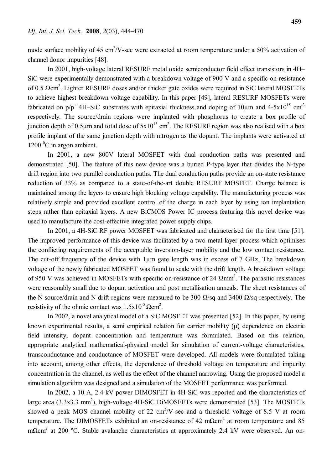mode surface mobility of 45 cm<sup>2</sup>/V-sec were extracted at room temperature under a 50% activation of channel donor impurities [48].

In 2001, high-voltage lateral RESURF metal oxide semiconductor field effect transistors in 4H– SiC were experimentally demonstrated with a breakdown voltage of 900 V and a specific on-resistance of 0.5  $\Omega$ cm<sup>2</sup>. Lighter RESURF doses and/or thicker gate oxides were required in SiC lateral MOSFETs to achieve highest breakdown voltage capability. In this paper [49], lateral RESURF MOSFETs were fabricated on  $p/p^+$  4H–SiC substrates with epitaxial thickness and doping of 10 $\mu$ m and 4-5x10<sup>15</sup> cm<sup>-3</sup> respectively. The source/drain regions were implanted with phosphorus to create a box profile of junction depth of 0.5 $\mu$ m and total dose of 5x10<sup>15</sup> cm<sup>2</sup>. The RESURF region was also realised with a box profile implant of the same junction depth with nitrogen as the dopant. The implants were activated at  $1200<sup>0</sup>C$  in argon ambient.

In 2001, a new 800V lateral MOSFET with dual conduction paths was presented and demonstrated [50]. The feature of this new device was a buried P-type layer that divides the N-type drift region into two parallel conduction paths. The dual conduction paths provide an on-state resistance reduction of 33% as compared to a state-of-the-art double RESURF MOSFET. Charge balance is maintained among the layers to ensure high blocking voltage capability. The manufacturing process was relatively simple and provided excellent control of the charge in each layer by using ion implantation steps rather than epitaxial layers. A new BiCMOS Power IC process featuring this novel device was used to manufacture the cost-effective integrated power supply chips.

In 2001, a 4H-SiC RF power MOSFET was fabricated and characterised for the first time [51]. The improved performance of this device was facilitated by a two-metal-layer process which optimises the conflicting requirements of the acceptable inversion-layer mobility and the low contact resistance. The cut-off frequency of the device with 1µm gate length was in excess of 7 GHz. The breakdown voltage of the newly fabricated MOSFET was found to scale with the drift length. A breakdown voltage of 950 V was achieved in MOSFETs with specific on-resistance of 24  $\Omega$ mm<sup>2</sup>. The parasitic resistances were reasonably small due to dopant activation and post metallisation anneals. The sheet resistances of the N source/drain and N drift regions were measured to be 300  $\Omega$ /sq and 3400  $\Omega$ /sq respectively. The resistivity of the ohmic contact was  $1.5x10^{-5}$   $\Omega$ cm<sup>2</sup>.

In 2002, a novel analytical model of a SiC MOSFET was presented [52]. In this paper, by using known experimental results, a semi empirical relation for carrier mobility (μ) dependence on electric field intensity, dopant concentration and temperature was formulated. Based on this relation, appropriate analytical mathematical-physical model for simulation of current-voltage characteristics, transconductance and conductance of MOSFET were developed. All models were formulated taking into account, among other effects, the dependence of threshold voltage on temperature and impurity concentration in the channel, as well as the effect of the channel narrowing. Using the proposed model a simulation algorithm was designed and a simulation of the MOSFET performance was performed.

In 2002, a 10 A, 2.4 kV power DIMOSFET in 4H-SiC was reported and the characteristics of large area  $(3.3x3.3 \text{ mm}^2)$ , high-voltage 4H-SiC DiMOSFETs were demonstrated [53]. The MOSFETs showed a peak MOS channel mobility of 22  $\text{cm}^2/\text{V}$ -sec and a threshold voltage of 8.5 V at room temperature. The DIMOSFETs exhibited an on-resistance of 42 m $\Omega$ cm<sup>2</sup> at room temperature and 85 mΩcm<sup>2</sup> at 200 °C. Stable avalanche characteristics at approximately 2.4 kV were observed. An on-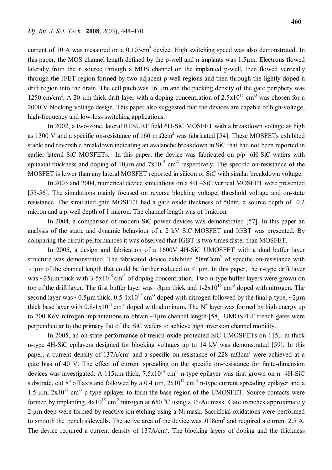current of 10 A was measured on a 0.103cm<sup>2</sup> device. High switching speed was also demonstrated. In this paper, the MOS channel length defined by the p-well and n implants was 1.5µm. Electrons flowed laterally from the n source through a MOS channel on the implanted p-well, then flowed vertically through the JFET region formed by two adjacent p-well regions and then through the lightly doped n drift region into the drain. The cell pitch was 16  $\mu$ m and the packing density of the gate periphery was 1250 cm/cm<sup>2</sup>. A 20-µm thick drift layer with a doping concentration of  $2.5 \times 10^{15}$  cm<sup>-3</sup> was chosen for a 2000 V blocking voltage design. This paper also suggested that the devices are capable of high-voltage, high-frequency and low-loss switching applications.

In 2002, a two-zone, lateral RESURF field 6H-SiC MOSFET with a breakdown voltage as high as 1300 V and a specific on-resistance of 160 m  $\Omega$ cm<sup>2</sup> was fabricated [54]. These MOSFETs exhibited stable and reversible breakdown indicating an avalanche breakdown in SiC that had not been reported in earlier lateral SiC MOSFETs. In this paper, the device was fabricated on  $p/p^+$  6H-SiC wafers with epitaxial thickness and doping of  $10\mu$ m and  $7x10^{15}$  cm<sup>-3</sup> respectively. The specific on-resistance of the MOSFET is lower than any lateral MOSFET reported in silicon or SiC with similar breakdown voltage.

In 2003 and 2004, numerical device simulations on a 4H –SiC vertical MOSFET were presented [55-56]. The simulations mainly focused on reverse blocking voltage, threshold voltage and on-state resistance. The simulated gate MOSFET had a gate oxide thickness of 50nm, a source depth of 0.2 micron and a p-well depth of 1 micron. The channel length was of 1micron.

In 2004, a comparison of modern SiC power devices was demonstrated [57]. In this paper an analysis of the static and dynamic behaviour of a 2 kV SiC MOSFET and IGBT was presented. By comparing the circuit performances it was observed that IGBT is two times faster than MOSFET.

In 2005, a design and fabrication of a 1600V 4H-SiC UMOSFET with a dual buffer layer structure was demonstrated. The fabricated device exhibited  $50 \text{m}\Omega \text{cm}^2$  of specific on-resistance with  $\sim$ 1 $\mu$ m of the channel length that could be further reduced to  $\leq$ 1 $\mu$ m. In this paper, the n-type drift layer was  $\sim$ 25 $\mu$ m thick with 3-5x10<sup>15</sup> cm<sup>-3</sup> of doping concentration. Two n-type buffer layers were grown on top of the drift layer. The first buffer layer was  $\sim 3\mu$ m thick and  $1-2\times10^{16}$  cm<sup>-3</sup> doped with nitrogen. The second layer was ~0.5 $\mu$ m thick, 0.5-1x10<sup>17</sup> cm<sup>-3</sup> doped with nitrogen followed by the final p-type, ~2 $\mu$ m thick base layer with  $0.8-1x10^{17}$  cm<sup>-3</sup> doped with aluminum. The N<sup>+</sup> layer was formed by high energy up to 700 KeV nitrogen implantations to obtain ~1 um channel length [58]. UMOSFET trench gates were perpendicular to the primary flat of the SiC wafers to achieve high inversion channel mobility.

In 2005, an on-state performance of trench oxide-protected SiC UMOSFETs on 115µ m-thick n-type 4H-SiC epilayers designed for blocking voltages up to 14 kV was demonstrated [59]. In this paper, a current density of 137A/cm<sup>2</sup> and a specific on-resistance of 228 mΩcm<sup>2</sup> were achieved at a gate bias of 40 V. The effect of current spreading on the specific on-resistance for finite-dimension devices was investigated. A 115 $\mu$ m-thick, 7.5x10<sup>14</sup> cm<sup>-3</sup> n-type epilayer was first grown on n<sup>+</sup> 4H-SiC substrate, cut 8<sup>°</sup> off axis and followed by a 0.4  $\mu$ m,  $2x10^{17}$  cm<sup>-3</sup> n-type current spreading epilayer and a 1.5  $\mu$ m,  $2x10^{17}$  cm<sup>-3</sup> p-type epilayer to form the base region of the UMOSFET. Source contacts were formed by implanting  $4x10^{15}$  cm<sup>-2</sup> nitrogen at 650 °C using a Ti-Au mask. Gate trenches approximately 2 µm deep were formed by reactive ion etching using a Ni mask. Sacrificial oxidations were performed to smooth the trench sidewalls. The active area of the device was  $.018 \text{cm}^2$  and required a current 2.5 A. The device required a current density of  $137A/cm<sup>2</sup>$ . The blocking layers of doping and the thickness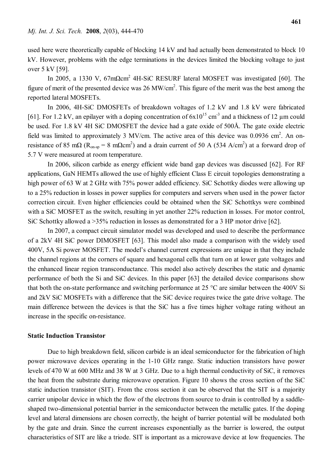used here were theoretically capable of blocking 14 kV and had actually been demonstrated to block 10 kV. However, problems with the edge terminations in the devices limited the blocking voltage to just over 5 kV [59].

In 2005, a 1330 V, 67mΩcm<sup>2</sup> 4H-SiC RESURF lateral MOSFET was investigated [60]. The figure of merit of the presented device was  $26 \text{ MW/cm}^2$ . This figure of the merit was the best among the reported lateral MOSFETs.

In 2006, 4H-SiC DMOSFETs of breakdown voltages of 1.2 kV and 1.8 kV were fabricated [61]. For 1.2 kV, an epilayer with a doping concentration of  $6x10^{15}$  cm<sup>-3</sup> and a thickness of 12  $\mu$ m could be used. For 1.8 kV 4H SiC DMOSFET the device had a gate oxide of 500Å. The gate oxide electric field was limited to approximately 3 MV/cm. The active area of this device was  $0.0936$  cm<sup>2</sup>. An onresistance of 85 m $\Omega$  (R<sub>on-sp</sub> = 8 m $\Omega$ cm<sup>2</sup>) and a drain current of 50 A (534 A/cm<sup>2</sup>) at a forward drop of 5.7 V were measured at room temperature.

In 2006, silicon carbide as energy efficient wide band gap devices was discussed [62]. For RF applications, GaN HEMTs allowed the use of highly efficient Class E circuit topologies demonstrating a high power of 63 W at 2 GHz with 75% power added efficiency. SiC Schottky diodes were allowing up to a 25% reduction in losses in power supplies for computers and servers when used in the power factor correction circuit. Even higher efficiencies could be obtained when the SiC Schottkys were combined with a SiC MOSFET as the switch, resulting in yet another 22% reduction in losses. For motor control, SiC Schottky allowed a >35% reduction in losses as demonstrated for a 3 HP motor drive [62].

In 2007, a compact circuit simulator model was developed and used to describe the performance of a 2kV 4H SiC power DIMOSFET [63]. This model also made a comparison with the widely used 400V, 5A Si power MOSFET. The model's channel current expressions are unique in that they include the channel regions at the corners of square and hexagonal cells that turn on at lower gate voltages and the enhanced linear region transconductance. This model also actively describes the static and dynamic performance of both the Si and SiC devices. In this paper [63] the detailed device comparisons show that both the on-state performance and switching performance at 25 °C are similar between the 400V Si and 2kV SiC MOSFETs with a difference that the SiC device requires twice the gate drive voltage. The main difference between the devices is that the SiC has a five times higher voltage rating without an increase in the specific on-resistance.

#### **Static Induction Transistor**

Due to high breakdown field, silicon carbide is an ideal semiconductor for the fabrication of high power microwave devices operating in the 1-10 GHz range. Static induction transistors have power levels of 470 W at 600 MHz and 38 W at 3 GHz. Due to a high thermal conductivity of SiC, it removes the heat from the substrate during microwave operation. Figure 10 shows the cross section of the SiC static induction transistor (SIT). From the cross section it can be observed that the SIT is a majority carrier unipolar device in which the flow of the electrons from source to drain is controlled by a saddleshaped two-dimensional potential barrier in the semiconductor between the metallic gates. If the doping level and lateral dimensions are chosen correctly, the height of barrier potential will be modulated both by the gate and drain. Since the current increases exponentially as the barrier is lowered, the output characteristics of SIT are like a triode. SIT is important as a microwave device at low frequencies. The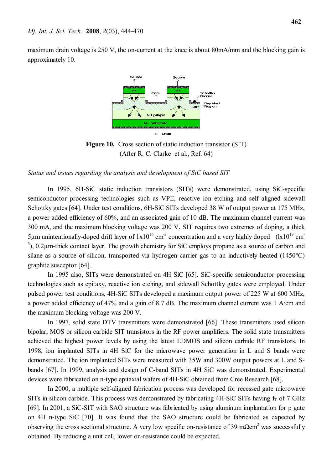maximum drain voltage is 250 V, the on-current at the knee is about 80mA/mm and the blocking gain is approximately 10.



**Figure 10.** Cross section of static induction transistor (SIT) (After R. C. Clarke et al., Ref. 64)

#### *Status and issues regarding the analysis and development of SiC based SIT*

In 1995, 6H-SiC static induction transistors (SITs) were demonstrated, using SiC-specific semiconductor processing technologies such as VPE, reactive ion etching and self aligned sidewall Schottky gates [64]. Under test conditions, 6H-SiC SITs developed 38 W of output power at 175 MHz, a power added efficiency of 60%, and an associated gain of 10 dB. The maximum channel current was 300 mA, and the maximum blocking voltage was 200 V. SIT requires two extremes of doping, a thick 5µm unintentionally-doped drift layer of  $1x10^{16}$  cm<sup>-3</sup> concentration and a very highly doped ( $1x10^{19}$  cm<sup>-</sup> <sup>3</sup>), 0.2μm-thick contact layer. The growth chemistry for SiC employs propane as a source of carbon and silane as a source of silicon, transported via hydrogen carrier gas to an inductively heated (1450°C) graphite susceptor [64].

In 1995 also, SITs were demonstrated on 4H SiC [65]. SiC-specific semiconductor processing technologies such as epitaxy, reactive ion etching, and sidewall Schottky gates were employed. Under pulsed power test conditions, 4H-SiC SITs developed a maximum output power of 225 W at 600 MHz, a power added efficiency of 47% and a gain of 8.7 dB. The maximum channel current was 1 A/cm and the maximum blocking voltage was 200 V.

In 1997, solid state DTV transmitters were demonstrated [66]. These transmitters used silicon bipolar, MOS or silicon carbide SIT transistors in the RF power amplifiers. The solid state transmitters achieved the highest power levels by using the latest LDMOS and silicon carbide RF transistors. In 1998, ion implanted SITs in 4H SiC for the microwave power generation in L and S bands were demonstrated. The ion implanted SITs were measured with 35W and 300W output powers at L and Sbands [67]. In 1999, analysis and design of C-band SITs in 4H SiC was demonstrated. Experimental devices were fabricated on n-type epitaxial wafers of 4H-SiC obtained from Cree Research [68].

In 2000, a multiple self-aligned fabrication process was developed for recessed gate microwave SITs in silicon carbide. This process was demonstrated by fabricating  $4H-SiC$  SITs having  $f<sub>T</sub>$  of 7 GHz [69]. In 2001, a SiC-SIT with SAO structure was fabricated by using aluminum implantation for p gate on 4H n-type SiC [70]. It was found that the SAO structure could be fabricated as expected by observing the cross sectional structure. A very low specific on-resistance of 39 m $\Omega$ cm<sup>2</sup> was successfully obtained. By reducing a unit cell, lower on-resistance could be expected.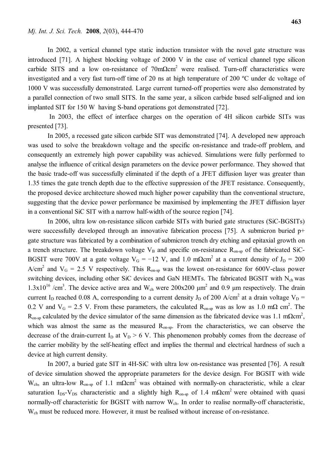In 2002, a vertical channel type static induction transistor with the novel gate structure was introduced [71]. A highest blocking voltage of 2000 V in the case of vertical channel type silicon carbide SITS and a low on-resistance of  $70 \text{m}\Omega \text{cm}^2$  were realised. Turn-off characteristics were investigated and a very fast turn-off time of 20 ns at high temperature of 200 ºC under dc voltage of 1000 V was successfully demonstrated. Large current turned-off properties were also demonstrated by

a parallel connection of two small SITS. In the same year, a silicon carbide based self-aligned and ion implanted SIT for 150 W having S-band operations got demonstrated [72].

In 2003, the effect of interface charges on the operation of 4H silicon carbide SITs was presented [73].

In 2005, a recessed gate silicon carbide SIT was demonstrated [74]. A developed new approach was used to solve the breakdown voltage and the specific on-resistance and trade-off problem, and consequently an extremely high power capability was achieved. Simulations were fully performed to analyse the influence of critical design parameters on the device power performance. They showed that the basic trade-off was successfully eliminated if the depth of a JFET diffusion layer was greater than 1.35 times the gate trench depth due to the effective suppression of the JFET resistance. Consequently, the proposed device architecture showed much higher power capability than the conventional structure, suggesting that the device power performance be maximised by implementing the JFET diffusion layer in a conventional SiC SIT with a narrow half-width of the source region [74].

In 2006, ultra low on-resistance silicon carbide SITs with buried gate structures (SiC-BGSITs) were successfully developed through an innovative fabrication process [75]. A submicron buried p+ gate structure was fabricated by a combination of submicron trench dry etching and epitaxial growth on a trench structure. The breakdown voltage  $V_B$  and specific on-resistance  $R_{on-sp}$  of the fabricated SiC-BGSIT were 700V at a gate voltage  $V_G = -12$  V, and 1.0 m $\Omega$ cm<sup>2</sup> at a current density of J<sub>D</sub> = 200 A/cm<sup>2</sup> and  $V_G = 2.5$  V respectively. This  $R_{on-sp}$  was the lowest on-resistance for 600V-class power switching devices, including other SiC devices and GaN HEMTs. The fabricated BGSIT with  $N_{ch}$  was  $1.3 \times 10^{16}$  /cm<sup>3</sup>. The device active area and W<sub>ch</sub> were 200x200  $\mu$ m<sup>2</sup> and 0.9  $\mu$ m respectively. The drain current I<sub>D</sub> reached 0.08 A, corresponding to a current density J<sub>D</sub> of 200 A/cm<sup>2</sup> at a drain voltage V<sub>D</sub> = 0.2 V and  $V_G = 2.5$  V. From these parameters, the calculated  $R_{on-sp}$  was as low as 1.0 m $\Omega$  cm<sup>2</sup>. The  $R_{on-sp}$  calculated by the device simulator of the same dimension as the fabricated device was 1.1 m $\Omega$ cm<sup>2</sup>, which was almost the same as the measured  $R_{on-sp}$ . From the characteristics, we can observe the decrease of the drain-current  $I_D$  at  $V_D > 6$  V. This phenomenon probably comes from the decrease of the carrier mobility by the self-heating effect and implies the thermal and electrical hardness of such a device at high current density.

In 2007, a buried gate SIT in 4H-SiC with ultra low on-resistance was presented [76]. A result of device simulation showed the appropriate parameters for the device design. For BGSIT with wide W<sub>ch</sub>, an ultra-low R<sub>on-sp</sub> of 1.1 mΩcm<sup>2</sup> was obtained with normally-on characteristic, while a clear saturation I<sub>DS</sub>-V<sub>DS</sub> characteristic and a slightly high R<sub>on-sp</sub> of 1.4 mΩcm<sup>2</sup> were obtained with quasi normally-off characteristic for BGSIT with narrow W<sub>ch</sub>. In order to realise normally-off characteristic, W<sub>ch</sub> must be reduced more. However, it must be realised without increase of on-resistance.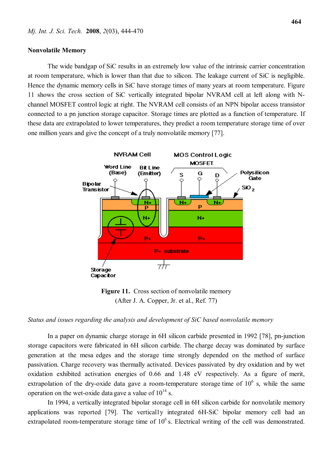#### **Nonvolatile Memory**

The wide bandgap of SiC results in an extremely low value of the intrinsic carrier concentration at room temperature, which is lower than that due to silicon. The leakage current of SiC is negligible. Hence the dynamic memory cells in SiC have storage times of many years at room temperature. Figure 11 shows the cross section of SiC vertically integrated bipolar NVRAM cell at left along with Nchannel MOSFET control logic at right. The NVRAM cell consists of an NPN bipolar access transistor connected to a pn junction storage capacitor. Storage times are plotted as a function of temperature. If these data are extrapolated to lower temperatures, they predict a room temperature storage time of over one million years and give the concept of a truly nonvolatile memory [77].



**Figure 11.** Cross section of nonvolatile memory (After J. A. Copper, Jr. et al., Ref. 77)

*Status and issues regarding the analysis and development of SiC based nonvolatile memory*

In a paper on dynamic charge storage in 6H silicon carbide presented in 1992 [78], pn-junction storage capacitors were fabricated in 6H silicon carbide. The charge decay was dominated by surface generation at the mesa edges and the storage time strongly depended on the method of surface passivation. Charge recovery was thermally activated. Devices passivated by dry oxidation and by wet oxidation exhibited activation energies of 0.66 and 1.48 eV respectively. As a figure of merit, extrapolation of the dry-oxide data gave a room-temperature storage time of  $10<sup>6</sup>$  s, while the same operation on the wet-oxide data gave a value of  $10^{14}$  s.

In 1994, a vertically integrated bipolar storage cell in 6H silicon carbide for nonvolatile memory applications was reported [79]. The vertical1y integrated 6H-SiC bipolar memory cell had an extrapolated room-temperature storage time of  $10<sup>6</sup>$  s. Electrical writing of the cell was demonstrated.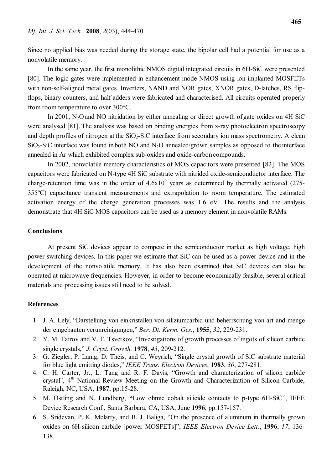Since no applied bias was needed during the storage state, the bipolar cell had a potential for use as a nonvolatile memory.

In the same year, the first monolithic NMOS digital integrated circuits in 6H-SiC were presented [80]. The logic gates were implemented in enhancement-mode NMOS using ion implanted MOSFETs with non-self-aligned metal gates. Inverters, NAND and NOR gates, XNOR gates, D-latches, RS flipflops, binary counters, and half adders were fabricated and characterised. All circuits operated properly from room temperature to over 300°C.

In 2001,  $N_2O$  and NO nitridation by either annealing or direct growth of gate oxides on 4H SiC were analysed [81]. The analysis was based on binding energies from x-ray photoelectron spectroscopy and depth profiles of nitrogen at the  $SiO<sub>2</sub>-SiC$  interface from secondary ion mass spectrometry. A clean  $SiO<sub>2</sub>-SiC$  interface was found in both NO and N<sub>2</sub>O annealed/grown samples as opposed to the interface annealed in Ar which exhibited complex sub-oxides and oxide-carbon compounds.

In 2002, nonvolatile memory characteristics of MOS capacitors were presented [82]. The MOS capacitors were fabricated on N-type 4H SiC substrate with nitrided oxide-semiconductor interface. The charge-retention time was in the order of  $4.6x10<sup>9</sup>$  years as determined by thermally activated (275-355ºC) capacitance transient measurements and extrapolation to room temperature. The estimated activation energy of the charge generation processes was 1.6 eV. The results and the analysis demonstrate that 4H SiC MOS capacitors can be used as a memory element in nonvolatile RAMs.

# **Conclusions**

At present SiC devices appear to compete in the semiconductor market as high voltage, high power switching devices. In this paper we estimate that SiC can be used as a power device and in the development of the nonvolatile memory. It has also been examined that SiC devices can also be operated at microwave frequencies. However, in order to become economically feasible, several critical materials and processing issues still need to be solved.

#### **References**

- 1. J. A. Lely, "Darstellung von einkristallen von siliziumcarbid und beherrschung von art and menge der eingebauten verunreinigungen," *Ber. Dt. Kerm. Ges.*, **1955**, *32*, 229-231.
- 2. Y. M. Tairov and V. F. Tsvetkov, "Investigations of growth processes of ingots of silicon carbide single crystals," *J. Cryst. Growth,* **1978**, *43*, 209-212.
- 3. G. Ziegler, P. Lanig, D. Theis, and C. Weyrich, "Single crystal growth of SiC substrate material for blue light emitting diodes," *IEEE Trans. Electron Devices*, **1983**, *30*, 277-281.
- 4. C. H. Carter, Jr., L. Tang and R. F. Davis, "Growth and characterization of silicon carbide crystal", 4<sup>th</sup> National Review Meeting on the Growth and Characterization of Silicon Carbide, Raleigh, NC, USA, **1987**, pp.15-28.
- 5. M. Ostling and N. Lundberg, **"**Low ohmic cobalt silicide contacts to p-type 6H-SiC", IEEE Device Research Conf., Santa Barbara, CA, USA, June **1996**, pp.157-157.
- 6. S. Sridevan, P. K. Mclarty, and B. J. Baliga, "On the presence of aluminum in thermally grown oxides on 6H-silicon carbide [power MOSFETs]", *IEEE Electron Device Lett.*, **1996**, *17*, 136- 138.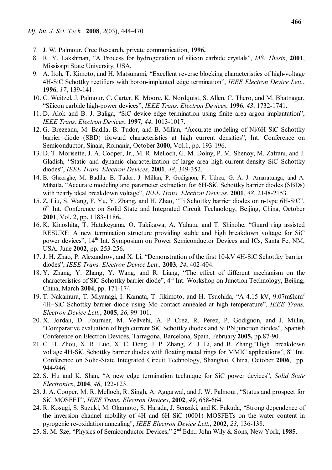- 7. J. W. Palmour, Cree Research, private communication, **1996.**
- 8. R. Y. Lakshman, "A Process for hydrogenation of silicon carbide crystals", *MS. Thesis*, **2001**, Mississipi State University, USA.
- 9. A. Itoh, T. Kimoto, and H. Matsunami, "Excellent reverse blocking characteristics of high-voltage 4H-SiC Schottky rectifiers with boron-implanted edge termination", *IEEE Electron Device Lett.*, **1996**, *17*, 139-141.
- 10. C. Weitzel, J. Palmour, C. Carter, K. Moore, K. Nordquist, S. Allen, C. Thero, and M. Bhatnagar, "Silicon carbide high-power devices", *IEEE Trans. Electron Devices*, **1996**, *43*, 1732-1741.
- 11. D. Alok and B. J. Baliga, "SiC device edge termination using finite area argon implantation", *IEEE Trans. Electron Devices*, **1997**, *44*, 1013-1017.
- 12. G. Brezeanu, M. Badila, B. Tudor, and B. Millan, "Accurate modeling of Ni/6H SiC Schottky barrier diode (SBD) forward characteristics at high current densities", Int. Conference on Semiconductor, Sinaia, Romania, October **2000,** Vol.1, pp. 193-196.
- 13. D. T. Morisette, J. A. Cooper, Jr., M. R. Melloch, G. M. Dolny, P. M. Shenoy, M. Zafrani, and J. Gladish, "Static and dynamic characterization of large area high-current-density SiC Schottky diodes", *IEEE Trans. Electron Devices*, **2001**, *48*, 349-352.
- 14. B. Gheorghe, M. Badila*,* B. Tudor, J. Millan, P. Godignon, F. Udrea, G. A. J. Amaratunga, and A. Mihaila, "Accurate modeling and parameter extraction for 6H-SiC Schottky barrier diodes (SBDs) with nearly ideal breakdown voltage", *IEEE Trans. Electron Devices*, **2001**, *48*, 2148-2153.
- 15. Z. Liu, S. Wang, F. Yu, Y. Zhang, and H. Zhao, "Ti Schottky barrier diodes on n-type 6H-SiC", 6<sup>th</sup> Int. Conference on Solid State and Integrated Circuit Technology, Beijing, China, October **2001**, Vol. 2, pp. 1183-1186**.**
- 16. K. Kinoshita, T. Hatakeyama, O. Takikawa, A. Yahata, and T. Shinohe, "Guard ring assisted RESURF: A new termination structure providing stable and high breakdown voltage for SiC power devices", 14<sup>th</sup> Int. Symposium on Power Semiconductor Devices and ICs, Santa Fe, NM, USA, June **2002**, pp. 253-256.
- 17. J. H. Zhao, P. Alexandrov, and X. Li, "Demonstration of the first 10-kV 4H-SiC Schottky barrier diodes", *IEEE Trans. Electron Device Lett.,* **2003**, *24*, 402-404.
- 18. Y. Zhang, Y. Zhang, Y. Wang, and R. Liang, "The effect of different mechanism on the characteristics of SiC Schottky barrier diode", 4<sup>th</sup> Int. Workshop on Junction Technology, Beijing, China, March **2004**, pp. 171-174.
- 19. T. Nakamura, T. Miyanagi, I. Kamata, T. Jikimoto, and H. Tsuchida, "A 4.15 kV,  $9.07 \text{m}\Omega\text{cm}^2$ 4H–SiC Schottky barrier diode using Mo contact annealed at high temperature", *IEEE Trans. Electron Device Lett.*, **2005**, *26*, 99-101.
- 20. X. Jordan, D. Fournier, M. Vellvehi, A. P Crez, R. Perez, P. Godignon, and J. Millin, "Comparative evaluation of high current SiC Schottky diodes and Si PN junction diodes", Spanish Conference on Electron Devices, Tarragona, Barcelona, Spain, February **2005,** pp.87-90.
- 21. C. H. Zhou, X. R. Luo, X. C. Deng, J. P. Zhang, Z. J. Li, and B. Zhang,"High breakdown voltage 4H-SiC Schottky barrier diodes with floating metal rings for MMIC applications", 8<sup>th</sup> Int. Conference on Solid-State Integrated Circuit Technology, Shanghai, China, October **2006**, pp. 944-946.
- 22. S. Hu and K. Shan, "A new edge termination technique for SiC power devices", *Solid State Electronics*, **2004**, *48*, 122-123.
- 23. J. A. Cooper, M. R. Melloch, R. Singh, A. Aggarwal, and J. W. Palmour, "Status and prospect for SiC MOSFET", *IEEE Trans. Electron Devices*, **2002**, *49*, 658-664.
- 24. R. Kosugi, S. Suzuki, M. Okamoto, S. Harada, J. Senzaki, and K. Fukuda, "Strong dependence of the inversion channel mobility of 4H and 6H SiC (0001) MOSFETs on the water content in pyrogenic re-oxidation annealing", *IEEE Electron Device Lett.*, **2002**, *23*, 136-138.
- 25. S. M. Sze, "Physics of Semiconductor Devices," 2 nd Edn., John Wily & Sons, New York, **1985**.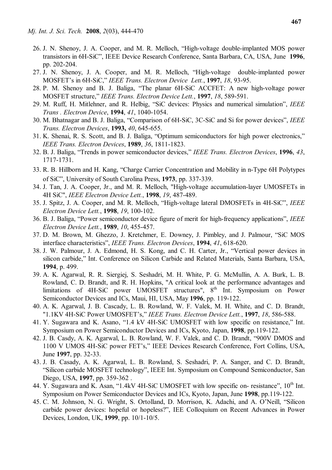- 26. J. N. Shenoy, J. A. Cooper, and M. R. Melloch, "High-voltage double-implanted MOS power transistors in 6H-SiC", IEEE Device Research Conference, Santa Barbara, CA, USA, June **1996**, pp. 202-204.
- 27. J. N. Shenoy, J. A. Cooper, and M. R. Melloch, "High-voltage double-implanted power MOSFET's in 6H-SiC," *IEEE Trans. Electron Device Lett.*, **1997**, *18*, 93-95.
- 28. P. M. Shenoy and B. J. Baliga, "The planar 6H-SiC ACCFET: A new high-voltage power MOSFET structure," *IEEE Trans. Electron Device Lett.*, **1997**, *18*, 589-591.
- 29. M. Ruff, H. Mitlehner, and R. Helbig, "SiC devices: Physics and numerical simulation", *IEEE Trans . Electron Device*, **1994**, *41*, 1040-1054.
- 30. M. Bhatnagar and B. J. Baliga, "Comparison of 6H-SiC, 3C-SiC and Si for power devices", *IEEE Trans. Electron Devices*, **1993,** *40*, 645-655.
- 31. K. Shenai, R. S. Scott, and B. J. Baliga, "Optimum semiconductors for high power electronics," *IEEE Trans. Electron Devices*, **1989**, *36*, 1811-1823.
- 32. B. J. Baliga, "Trends in power semiconductor devices," *IEEE Trans. Electron Devices*, **1996**, *43*, 1717-1731.
- 33. R. B. Hillborn and H. Kang, "Charge Carrier Concentration and Mobility in n-Type 6H Polytypes of SiC", University of South Carolina Press, **1973**, pp. 337-339.
- 34. J. Tan, J. A. Cooper, Jr., and M. R. Melloch, "High-voltage accumulation-layer UMOSFETs in 4H SiC", *IEEE Electron Device Lett.*, **1998**, *19*, 487-489.
- 35. J. Spitz, J. A. Cooper, and M. R. Melloch, "High-voltage lateral DMOSFETs in 4H-SiC", *IEEE Electron Device Lett.*, **1998**, *19*, 100-102.
- 36. B. J. Baliga, "Power semiconductor device figure of merit for high-frequency applications", *IEEE Electron Device Lett.*, **1989**, *10*, 455-457.
- 37. D. M. Brown, M. Ghezzo, J. Kretchmer, E. Downey, J. Pimbley, and J. Palmour, "SiC MOS interface characteristics", *IEEE Trans. Electron Devices*, **1994**, *41*, 618-620.
- 38. J. W. Palmour, J. A. Edmond, H. S. Kong, and C. H. Carter, Jr., "Vertical power devices in silicon carbide," Int. Conference on Silicon Carbide and Related Materials, Santa Barbara, USA, **1994**, p. 499.
- 39. A. K. Agarwal, R. R. Siergiej, S. Seshadri, M. H. White, P. G. McMullin, A. A. Burk, L. B. Rowland, C. D. Brandt, and R. H. Hopkins, "A critical look at the performance advantages and limitations of 4H-SiC power UMOSFET structures", 8<sup>th</sup> Int. Symposium on Power Semiconductor Devices and ICs, Maui, HI, USA, May **1996**, pp. 119-122.
- 40. A. K. Agarwal, J. B. Cascady, L. B. Rowland, W. F. Valek, M. H. White, and C. D. Brandt, "1.1KV 4H-SiC Power UMOSFET's," *IEEE Trans. Electron Device Lett.*, **1997**, *18*, 586-588.
- 41. Y. Sugawara and K. Asano, "1.4 kV 4H-SiC UMOSFET with low specific on resistance," Int. Symposium on Power Semiconductor Devices and ICs, Kyoto, Japan, **1998**, pp.119-122.
- 42. J. B. Casdy, A. K. Agarwal, L. B. Rowland, W. F. Valek, and C. D. Brandt, "900V DMOS and 1100 V UMOS 4H-SiC power FET's," IEEE Devices Research Conference, Fort Collins, USA, June **1997**, pp. 32-33.
- 43. J. B. Casady, A. K. Agarwal, L. B. Rowland, S. Seshadri, P. A. Sanger, and C. D. Brandt, "Silicon carbide MOSFET technology", IEEE Int. Symposium on Compound Semiconductor, San Diego, USA, **1997**, pp. 359-362 .
- 44. Y. Sugawara and K. Asan, "1.4kV 4H-SiC UMOSFET with low specific on- resistance", 10<sup>th</sup> Int. Symposium on Power Semiconductor Devices and ICs, Kyoto, Japan, June **1998**, pp.119-122.
- 45. C. M. Johnson, N. G. Wright, S. Ortolland, D. Morrison, K. Adachi, and A. O'Neill, "Silicon carbide power devices: hopeful or hopeless?", IEE Colloquium on Recent Advances in Power Devices, London, UK, **1999**, pp. 10/1-10/5.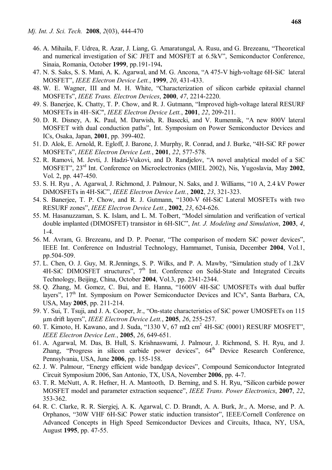- 46. A. Mihaila, F. Udrea, R. Azar, J. Liang, G. Amaratungal, A. Rusu, and G. Brezeanu, "Theoretical and numerical investigation of SiC JFET and MOSFET at 6.5kV", Semiconductor Conference, Sinaia, Romania, October **1999**, pp.191-194**.**
- 47. N. S. Saks, S. S. Mani, A. K. Agarwal, and M. G. Ancona, "A 475-V high-voltage 6H-SiC lateral MOSFET", *IEEE Electron Device Lett.*, **1999**, *20*, 431-433.
- 48. W. E. Wagner, III and M. H. White, "Characterization of silicon carbide epitaxial channel MOSFETs", *IEEE Trans. Electron Devices*, **2000**, *47*, 2214-2220.
- 49. S. Banerjee, K. Chatty, T. P. Chow, and R. J. Gutmann, "Improved high-voltage lateral RESURF MOSFETs in 4H–SiC", *IEEE Electron Device Lett.*, **2001**, *22*, 209-211.
- 50. D. R. Disney, A. K. Paul, M. Darwish, R. Basecki, and V. Rumennik, "A new 800V lateral MOSFET with dual conduction paths", Int. Symposium on Power Semiconductor Devices and ICs, Osaka, Japan, **2001**, pp. 399-402.
- 51. D. Alok, E. Arnold, R. Egloff, J. Barone, J. Murphy, R. Conrad, and J. Burke, "4H-SiC RF power MOSFETs", *IEEE Electron Device Lett.*, **2001**, *22*, 577-578.
- 52. R. Ramovi, M. Jevti, J. Hadzi-Vukovi, and D. Randjelov, "A novel analytical model of a SiC MOSFET", 23rd Int. Conference on Microelectronics (MIEL 2002), Nis, Yugoslavia, May **2002**, Vol. 2, pp. 447-450.
- 53. S. H. Ryu , A. Agarwal, J. Richmond, J. Palmour, N. Saks, and J. Williams, "10 A, 2.4 kV Power DiMOSFETs in 4H-SiC", *IEEE Electron Device Lett.*, **2002**, *23*, 321-323.
- 54. S. Banerjee, T. P. Chow, and R. J. Gutmann, "1300-V 6H-SiC Lateral MOSFETs with two RESURF zones", *IEEE Electron Device Lett.*, **2002**, *23*, 624-626.
- 55. M. Hasanuzzaman, S. K. Islam, and L. M. Tolbert, "Model simulation and verification of vertical double implanted (DIMOSFET) transistor in 6H-SIC", *Int. J. Modeling and Simulation*, **2003**, *4*, 1-4.
- 56. M. Avram, G. Brezeanu, and D. P. Poenar, "The comparison of modern SiC power devices", IEEE Int. Conference on Industrial Technology, Hammamet, Tunisia, December **2004**, Vol.1, pp.504-509.
- 57. L. Chen, O. J. Guy, M. R.Jennings, S. P. Wilks, and P. A. Mawby, "Simulation study of 1.2kV  $4H-SiC$  DIMOSFET structures",  $7<sup>th</sup>$  Int. Conference on Solid-State and Integrated Circuits Technology, Beijing, China, October **2004**, Vol.3, pp. 2341-2344.
- 58. Q. Zhang, M. Gomez, C. Bui, and E. Hanna, "1600V 4H-SiC UMOSFETs with dual buffer layers", 17<sup>th</sup> Int. Symposium on Power Semiconductor Devices and IC's", Santa Barbara, CA, USA, May **2005**, pp. 211-214.
- 59. Y. Sui, T. Tsuji, and J. A. Cooper, Jr., "On-state characteristics of SiC power UMOSFETs on 115 µm drift layers", *IEEE Electron Device Lett.*, **2005**, *26*, 255-257.
- 60. T. Kimoto, H. Kawano, and J. Suda, "1330 V, 67 m $\Omega$  cm<sup>2</sup> 4H-SiC (0001) RESURF MOSFET", *IEEE Electron Device Lett.*, **2005**, *26*, 649-651.
- 61. A. Agarwal, M. Das, B. Hull, S. Krishnaswami, J. Palmour, J. Richmond, S. H. Ryu, and J. Zhang, "Progress in silicon carbide power devices", 64<sup>th</sup> Device Research Conference, Pennsylvania, USA, June **2006**, pp. 155-158.
- 62. J. W. Palmour, "Energy efficient wide bandgap devices", Compound Semiconductor Integrated Circuit Symposium 2006, San Antonio, TX, USA, November **2006**, pp. 4-7.
- 63. T. R. McNutt, A. R. Hefner, H. A. Mantooth, D. Berning, and S. H. Ryu, "Silicon carbide power MOSFET model and parameter extraction sequence", *IEEE Trans. Power Electronics*, **2007**, *22*, 353-362.
- 64. R. C. Clarke, R. R. Siergiej, A. K. Agarwal, C. D. Brandt, A. A. Burk, Jr., A. Morse, and P. A. Orphanos, "30W VHF 6H-SiC Power static induction transistor", IEEE/Cornell Conference on Advanced Concepts in High Speed Semiconductor Devices and Circuits, Ithaca, NY, USA, August **1995**, pp. 47-55.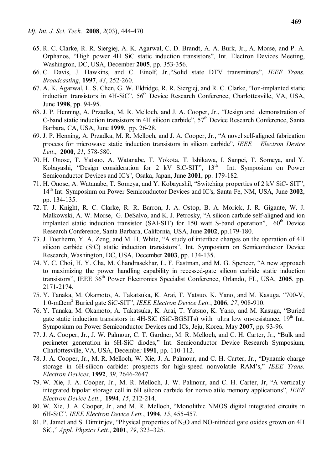- 65. R. C. Clarke, R. R. Siergiej, A. K. Agarwal, C. D. Brandt, A. A. Burk, Jr., A. Morse, and P. A. Orphanos, "High power 4H SiC static induction transistors", Int. Electron Devices Meeting, Washington, DC, USA, December **2005**, pp. 353-356.
- 66. C. Davis, J. Hawkins, and C. Einolf, Jr.,"Solid state DTV transmitters", *IEEE Trans. Broadcasting*, **1997**, *43*, 252-260.
- 67. A. K. Agarwal, L. S. Chen, G. W. Eldridge, R. R. Siergiej, and R. C. Clarke, "Ion-implanted static induction transistors in 4H-SiC", 56<sup>th</sup> Device Research Conference, Charlottesville, VA, USA, June **1998**, pp. 94-95.
- 68. J. P. Henning, A. Przadka, M. R. Melloch, and J. A. Cooper, Jr., "Design and demonstration of C-band static induction transistors in 4H silicon carbide",  $57<sup>th</sup>$  Device Research Conference, Santa Barbara, CA, USA, June **1999**, pp. 26-28.
- 69. J. P. Henning, A. Przadka, M. R. Melloch, and J. A. Cooper, Jr., "A novel self-aligned fabrication process for microwave static induction transistors in silicon carbide", *IEEE Electron Device Lett*., **2000**, *21*, 578-580.
- 70. H. Onose, T. Yatsuo, A. Watanabe, T. Yokota, T. Ishikawa, I. Sanpei, T. Someya, and Y. Kobayashi, "Design consideration for 2 kV SiC-SIT",  $13<sup>th</sup>$  Int. Symposium on Power Semiconductor Devices and IC's", Osaka, Japan, June **2001**, pp. 179-182.
- 71. H. Onose, A. Watanabe, T. Someya, and Y. Kobayashil, "Switching properties of 2 kV SiC- SIT", 14th Int. Symposium on Power Semiconductor Devices and IC's, Santa Fe, NM, USA, June **2002**, pp. 134-135.
- 72. T. J. Knight, R. C. Clarke, R. R. Barron, J. A. Ostop, B. A. Morick, J. R. Gigante, W. J. Malkowski, A. W. Morse, G. DeSalvo, and K. J. Petrosky, "A silicon carbide self-aligned and ion implanted static induction transistor (SAI-SIT) for 150 watt S-band operation",  $60<sup>th</sup>$  Device Research Conference, Santa Barbara, California, USA, June **2002**, pp.179-180.
- 73. J. Fuerherm, Y. A. Zeng, and M. H. White, "A study of interface charges on the operation of 4H silicon carbide (SiC) static induction transistors", Int. Symposium on Semiconductor Device Research, Washington, DC, USA, December **2003**, pp. 134-135.
- 74. Y. C. Choi, H. Y. Cha, M. Chandrasekhar, L. F. Eastman, and M. G. Spencer, "A new approach to maximizing the power handling capability in recessed-gate silicon carbide static induction transistors", IEEE 36<sup>th</sup> Power Electronics Specialist Conference, Orlando, FL, USA, 2005, pp. 2171-2174.
- 75. Y. Tanaka, M. Okamoto, A. Takatsuka, K. Arai, T. Yatsuo, K. Yano, and M. Kasuga, "700-V, 1.0-mΩcm<sup>2</sup> Buried gate SiC-SIT", *IEEE Electron Device Lett.*, **2006**, *27*, 908-910.
- 76. Y. Tanaka, M. Okamoto, A. Takatsuka, K. Arai, T. Yatsuo, K. Yano, and M. Kasuga, "Buried gate static induction transistors in 4H-SiC (SiC-BGSITs) with ultra low on-resistance, 19<sup>th</sup> Int. Symposium on Power Semiconductor Devices and ICs, Jeju, Korea, May **2007**, pp. 93-96.
- 77. J. A. Cooper, Jr., J. W. Palmour, C. T. Gardner, M. R. Melloch, and C. H. Carter, Jr., "Bulk and perimeter generation in 6H-SiC diodes," Int. Semiconductor Device Research Symposium, Charlottesville, VA, USA, December **1991**, pp. 110-112.
- 78. J. A. Cooper, Jr., M. R. Melloch, W. Xie, J. A. Palmour, and C. H. Carter, Jr., "Dynamic charge storage in 6H-silicon carbide: prospects for high-speed nonvolatile RAM's," *IEEE Trans. Electron Devices*, **1992**, *39*, 2646-2647.
- 79. W. Xie, J. A. Cooper, Jr., M. R. Melloch, J. W. Palmour, and C. H. Carter, Jr, "A vertically integrated bipolar storage cell in 6H silicon carbide for nonvolatile memory applications", *IEEE Electron Device Lett.*, **1994**, *15*, 212-214.
- 80. W. Xie, J. A. Cooper, Jr., and M. R. Melloch, "Monolithic NMOS digital integrated circuits in 6H-SiC", *IEEE Electron Device Lett.*, **1994**, *15*, 455-457.
- 81. P. Jamet and S. Dimitrijev, "Physical properties of  $N_2O$  and NO-nitrided gate oxides grown on 4H SiC," *Appl. Physics Lett.*, **2001**, *79*, 323–325.